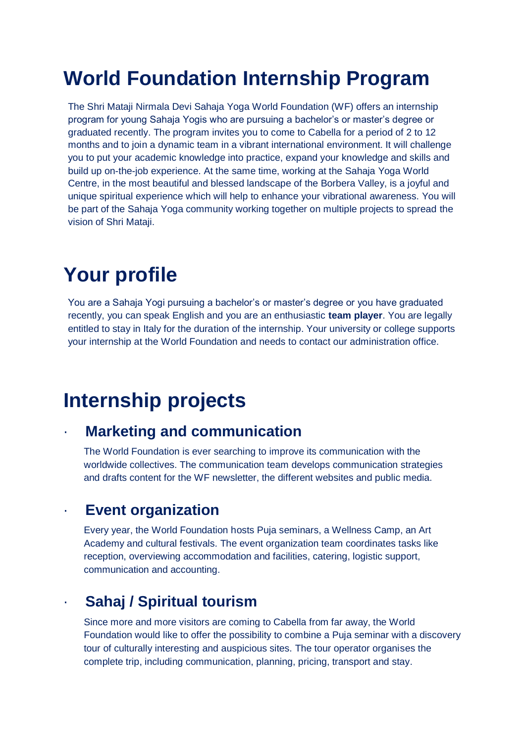# **World Foundation Internship Program**

The Shri Mataji Nirmala Devi Sahaja Yoga World Foundation (WF) offers an internship program for young Sahaja Yogis who are pursuing a bachelor's or master's degree or graduated recently. The program invites you to come to Cabella for a period of 2 to 12 months and to join a dynamic team in a vibrant international environment. It will challenge you to put your academic knowledge into practice, expand your knowledge and skills and build up on-the-job experience. At the same time, working at the Sahaja Yoga World Centre, in the most beautiful and blessed landscape of the Borbera Valley, is a joyful and unique spiritual experience which will help to enhance your vibrational awareness. You will be part of the Sahaja Yoga community working together on multiple projects to spread the vision of Shri Mataji.

# **Your profile**

You are a Sahaja Yogi pursuing a bachelor's or master's degree or you have graduated recently, you can speak English and you are an enthusiastic **team player**. You are legally entitled to stay in Italy for the duration of the internship. Your university or college supports your internship at the World Foundation and needs to contact our administration office.

# **Internship projects**

## · **Marketing and communication**

The World Foundation is ever searching to improve its communication with the worldwide collectives. The communication team develops communication strategies and drafts content for the WF newsletter, the different websites and public media.

## · **Event organization**

Every year, the World Foundation hosts Puja seminars, a Wellness Camp, an Art Academy and cultural festivals. The event organization team coordinates tasks like reception, overviewing accommodation and facilities, catering, logistic support, communication and accounting.

## · **Sahaj / Spiritual tourism**

Since more and more visitors are coming to Cabella from far away, the World Foundation would like to offer the possibility to combine a Puja seminar with a discovery tour of culturally interesting and auspicious sites. The tour operator organises the complete trip, including communication, planning, pricing, transport and stay.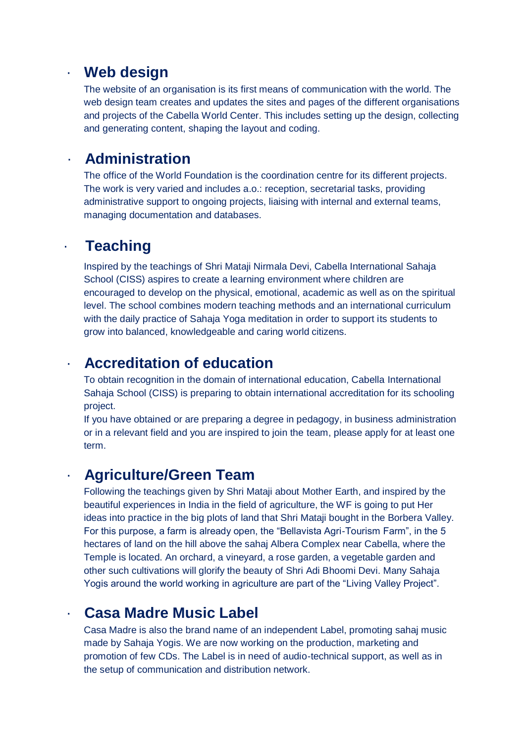#### · **Web design**

The website of an organisation is its first means of communication with the world. The web design team creates and updates the sites and pages of the different organisations and projects of the Cabella World Center. This includes setting up the design, collecting and generating content, shaping the layout and coding.

#### · **Administration**

The office of the World Foundation is the coordination centre for its different projects. The work is very varied and includes a.o.: reception, secretarial tasks, providing administrative support to ongoing projects, liaising with internal and external teams, managing documentation and databases.

## · **Teaching**

Inspired by the teachings of Shri Mataji Nirmala Devi, Cabella International Sahaja School (CISS) aspires to create a learning environment where children are encouraged to develop on the physical, emotional, academic as well as on the spiritual level. The school combines modern teaching methods and an international curriculum with the daily practice of Sahaja Yoga meditation in order to support its students to grow into balanced, knowledgeable and caring world citizens.

#### · **Accreditation of education**

To obtain recognition in the domain of international education, Cabella International Sahaja School (CISS) is preparing to obtain international accreditation for its schooling project.

If you have obtained or are preparing a degree in pedagogy, in business administration or in a relevant field and you are inspired to join the team, please apply for at least one term.

#### · **Agriculture/Green Team**

Following the teachings given by Shri Mataji about Mother Earth, and inspired by the beautiful experiences in India in the field of agriculture, the WF is going to put Her ideas into practice in the big plots of land that Shri Mataji bought in the Borbera Valley. For this purpose, a farm is already open, the "Bellavista Agri-Tourism Farm", in the 5 hectares of land on the hill above the sahaj Albera Complex near Cabella, where the Temple is located. An orchard, a vineyard, a rose garden, a vegetable garden and other such cultivations will glorify the beauty of Shri Adi Bhoomi Devi. Many Sahaja Yogis around the world working in agriculture are part of the "Living Valley Project".

## · **Casa Madre Music Label**

Casa Madre is also the brand name of an independent Label, promoting sahaj music made by Sahaja Yogis. We are now working on the production, marketing and promotion of few CDs. The Label is in need of audio-technical support, as well as in the setup of communication and distribution network.